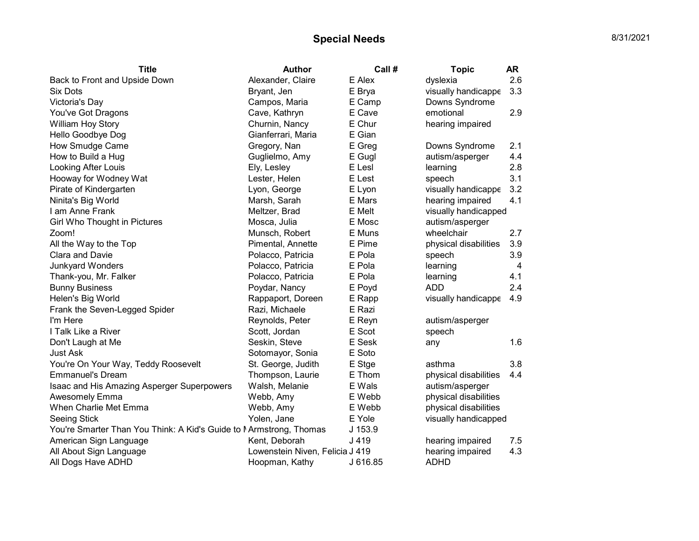## Special Needs 8/31/2021

| <b>Title</b>                                                       | <b>Author</b>                   | Call #   | <b>Topic</b>          | <b>AR</b> |
|--------------------------------------------------------------------|---------------------------------|----------|-----------------------|-----------|
| Back to Front and Upside Down                                      | Alexander, Claire               | E Alex   | dyslexia              | 2.6       |
| <b>Six Dots</b>                                                    | Bryant, Jen                     | E Brya   | visually handicappe   | 3.3       |
| Victoria's Day                                                     | Campos, Maria                   | E Camp   | Downs Syndrome        |           |
| You've Got Dragons                                                 | Cave, Kathryn                   | E Cave   | emotional             | 2.9       |
| William Hoy Story                                                  | Churnin, Nancy                  | E Chur   | hearing impaired      |           |
| Hello Goodbye Dog                                                  | Gianferrari, Maria              | E Gian   |                       |           |
| How Smudge Came                                                    | Gregory, Nan                    | E Greg   | Downs Syndrome        | 2.1       |
| How to Build a Hug                                                 | Guglielmo, Amy                  | E Gugl   | autism/asperger       | 4.4       |
| Looking After Louis                                                | Ely, Lesley                     | E Lesl   | learning              | 2.8       |
| Hooway for Wodney Wat                                              | Lester, Helen                   | E Lest   | speech                | 3.1       |
| Pirate of Kindergarten                                             | Lyon, George                    | E Lyon   | visually handicappe   | 3.2       |
| Ninita's Big World                                                 | Marsh, Sarah                    | E Mars   | hearing impaired      | 4.1       |
| I am Anne Frank                                                    | Meltzer, Brad                   | E Melt   | visually handicapped  |           |
| Girl Who Thought in Pictures                                       | Mosca, Julia                    | E Mosc   | autism/asperger       |           |
| Zoom!                                                              | Munsch, Robert                  | E Muns   | wheelchair            | 2.7       |
| All the Way to the Top                                             | Pimental, Annette               | E Pime   | physical disabilities | 3.9       |
| Clara and Davie                                                    | Polacco, Patricia               | E Pola   | speech                | 3.9       |
| <b>Junkyard Wonders</b>                                            | Polacco, Patricia               | E Pola   | learning              | 4         |
| Thank-you, Mr. Falker                                              | Polacco, Patricia               | E Pola   | learning              | 4.1       |
| <b>Bunny Business</b>                                              | Poydar, Nancy                   | E Poyd   | <b>ADD</b>            | 2.4       |
| Helen's Big World                                                  | Rappaport, Doreen               | E Rapp   | visually handicappe   | 4.9       |
| Frank the Seven-Legged Spider                                      | Razi, Michaele                  | E Razi   |                       |           |
| I'm Here                                                           | Reynolds, Peter                 | E Reyn   | autism/asperger       |           |
| I Talk Like a River                                                | Scott, Jordan                   | E Scot   | speech                |           |
| Don't Laugh at Me                                                  | Seskin, Steve                   | E Sesk   | any                   | 1.6       |
| Just Ask                                                           | Sotomayor, Sonia                | E Soto   |                       |           |
| You're On Your Way, Teddy Roosevelt                                | St. George, Judith              | E Stge   | asthma                | 3.8       |
| <b>Emmanuel's Dream</b>                                            | Thompson, Laurie                | E Thom   | physical disabilities | 4.4       |
| Isaac and His Amazing Asperger Superpowers                         | Walsh, Melanie                  | E Wals   | autism/asperger       |           |
| Awesomely Emma                                                     | Webb, Amy                       | E Webb   | physical disabilities |           |
| When Charlie Met Emma                                              | Webb, Amy                       | E Webb   | physical disabilities |           |
| Seeing Stick                                                       | Yolen, Jane                     | E Yole   | visually handicapped  |           |
| You're Smarter Than You Think: A Kid's Guide to MArmstrong, Thomas |                                 | J 153.9  |                       |           |
| American Sign Language                                             | Kent, Deborah                   | J 419    | hearing impaired      | 7.5       |
| All About Sign Language                                            | Lowenstein Niven, Felicia J 419 |          | hearing impaired      | 4.3       |
| All Dogs Have ADHD                                                 | Hoopman, Kathy                  | J 616.85 | <b>ADHD</b>           |           |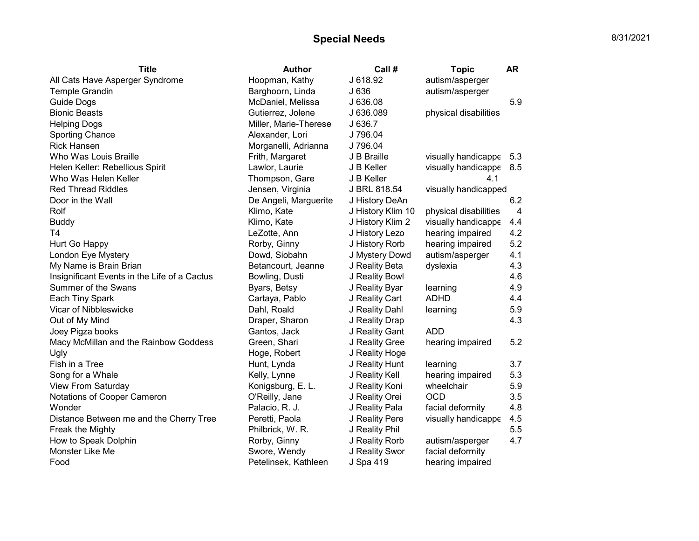## Special Needs 8/31/2021

| <b>Title</b>                                 | <b>Author</b>         | Call #            | <b>Topic</b>          | <b>AR</b>      |
|----------------------------------------------|-----------------------|-------------------|-----------------------|----------------|
| All Cats Have Asperger Syndrome              | Hoopman, Kathy        | J 618.92          | autism/asperger       |                |
| <b>Temple Grandin</b>                        | Barghoorn, Linda      | J 636             | autism/asperger       |                |
| <b>Guide Dogs</b>                            | McDaniel, Melissa     | J 636.08          |                       | 5.9            |
| <b>Bionic Beasts</b>                         | Gutierrez, Jolene     | J 636.089         | physical disabilities |                |
| <b>Helping Dogs</b>                          | Miller, Marie-Therese | J 636.7           |                       |                |
| <b>Sporting Chance</b>                       | Alexander, Lori       | J 796.04          |                       |                |
| <b>Rick Hansen</b>                           | Morganelli, Adrianna  | J 796.04          |                       |                |
| Who Was Louis Braille                        | Frith, Margaret       | J B Braille       | visually handicappe   | 5.3            |
| Helen Keller: Rebellious Spirit              | Lawlor, Laurie        | J B Keller        | visually handicappe   | 8.5            |
| Who Was Helen Keller                         | Thompson, Gare        | J B Keller        | 4.1                   |                |
| <b>Red Thread Riddles</b>                    | Jensen, Virginia      | J BRL 818.54      | visually handicapped  |                |
| Door in the Wall                             | De Angeli, Marguerite | J History DeAn    |                       | 6.2            |
| Rolf                                         | Klimo, Kate           | J History Klim 10 | physical disabilities | $\overline{4}$ |
| <b>Buddy</b>                                 | Klimo, Kate           | J History Klim 2  | visually handicappe   | 4.4            |
| T <sub>4</sub>                               | LeZotte, Ann          | J History Lezo    | hearing impaired      | 4.2            |
| Hurt Go Happy                                | Rorby, Ginny          | J History Rorb    | hearing impaired      | 5.2            |
| London Eye Mystery                           | Dowd, Siobahn         | J Mystery Dowd    | autism/asperger       | 4.1            |
| My Name is Brain Brian                       | Betancourt, Jeanne    | J Reality Beta    | dyslexia              | 4.3            |
| Insignificant Events in the Life of a Cactus | Bowling, Dusti        | J Reality Bowl    |                       | 4.6            |
| Summer of the Swans                          | Byars, Betsy          | J Reality Byar    | learning              | 4.9            |
| Each Tiny Spark                              | Cartaya, Pablo        | J Reality Cart    | <b>ADHD</b>           | 4.4            |
| Vicar of Nibbleswicke                        | Dahl, Roald           | J Reality Dahl    | learning              | 5.9            |
| Out of My Mind                               | Draper, Sharon        | J Reality Drap    |                       | 4.3            |
| Joey Pigza books                             | Gantos, Jack          | J Reality Gant    | <b>ADD</b>            |                |
| Macy McMillan and the Rainbow Goddess        | Green, Shari          | J Reality Gree    | hearing impaired      | 5.2            |
| Ugly                                         | Hoge, Robert          | J Reality Hoge    |                       |                |
| Fish in a Tree                               | Hunt, Lynda           | J Reality Hunt    | learning              | 3.7            |
| Song for a Whale                             | Kelly, Lynne          | J Reality Kell    | hearing impaired      | 5.3            |
| View From Saturday                           | Konigsburg, E. L.     | J Reality Koni    | wheelchair            | 5.9            |
| Notations of Cooper Cameron                  | O'Reilly, Jane        | J Reality Orei    | <b>OCD</b>            | 3.5            |
| Wonder                                       | Palacio, R. J.        | J Reality Pala    | facial deformity      | 4.8            |
| Distance Between me and the Cherry Tree      | Peretti, Paola        | J Reality Pere    | visually handicappe   | 4.5            |
| Freak the Mighty                             | Philbrick, W. R.      | J Reality Phil    |                       | 5.5            |
| How to Speak Dolphin                         | Rorby, Ginny          | J Reality Rorb    | autism/asperger       | 4.7            |
| Monster Like Me                              | Swore, Wendy          | J Reality Swor    | facial deformity      |                |
| Food                                         | Petelinsek, Kathleen  | J Spa 419         | hearing impaired      |                |